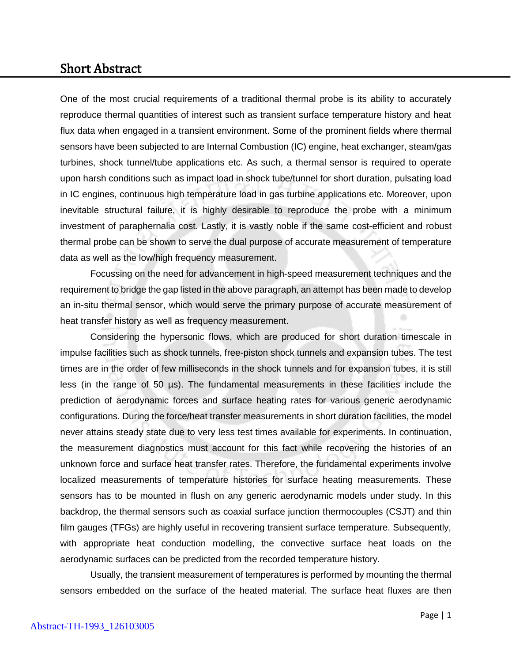## Short Abstract

One of the most crucial requirements of a traditional thermal probe is its ability to accurately reproduce thermal quantities of interest such as transient surface temperature history and heat flux data when engaged in a transient environment. Some of the prominent fields where thermal sensors have been subjected to are Internal Combustion (IC) engine, heat exchanger, steam/gas turbines, shock tunnel/tube applications etc. As such, a thermal sensor is required to operate upon harsh conditions such as impact load in shock tube/tunnel for short duration, pulsating load in IC engines, continuous high temperature load in gas turbine applications etc. Moreover, upon inevitable structural failure, it is highly desirable to reproduce the probe with a minimum investment of paraphernalia cost. Lastly, it is vastly noble if the same cost-efficient and robust thermal probe can be shown to serve the dual purpose of accurate measurement of temperature data as well as the low/high frequency measurement.

Focussing on the need for advancement in high-speed measurement techniques and the requirement to bridge the gap listed in the above paragraph, an attempt has been made to develop an in-situ thermal sensor, which would serve the primary purpose of accurate measurement of heat transfer history as well as frequency measurement.

Considering the hypersonic flows, which are produced for short duration timescale in impulse facilities such as shock tunnels, free-piston shock tunnels and expansion tubes. The test times are in the order of few milliseconds in the shock tunnels and for expansion tubes, it is still less (in the range of 50 µs). The fundamental measurements in these facilities include the prediction of aerodynamic forces and surface heating rates for various generic aerodynamic configurations. During the force/heat transfer measurements in short duration facilities, the model never attains steady state due to very less test times available for experiments. In continuation, the measurement diagnostics must account for this fact while recovering the histories of an unknown force and surface heat transfer rates. Therefore, the fundamental experiments involve localized measurements of temperature histories for surface heating measurements. These sensors has to be mounted in flush on any generic aerodynamic models under study. In this backdrop, the thermal sensors such as coaxial surface junction thermocouples (CSJT) and thin film gauges (TFGs) are highly useful in recovering transient surface temperature. Subsequently, with appropriate heat conduction modelling, the convective surface heat loads on the aerodynamic surfaces can be predicted from the recorded temperature history.

Usually, the transient measurement of temperatures is performed by mounting the thermal sensors embedded on the surface of the heated material. The surface heat fluxes are then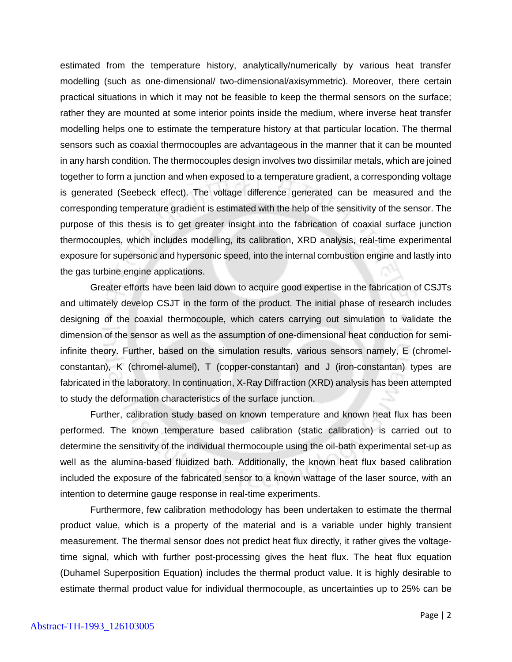estimated from the temperature history, analytically/numerically by various heat transfer modelling (such as one-dimensional/ two-dimensional/axisymmetric). Moreover, there certain practical situations in which it may not be feasible to keep the thermal sensors on the surface; rather they are mounted at some interior points inside the medium, where inverse heat transfer modelling helps one to estimate the temperature history at that particular location. The thermal sensors such as coaxial thermocouples are advantageous in the manner that it can be mounted in any harsh condition. The thermocouples design involves two dissimilar metals, which are joined together to form a junction and when exposed to a temperature gradient, a corresponding voltage is generated (Seebeck effect). The voltage difference generated can be measured and the corresponding temperature gradient is estimated with the help of the sensitivity of the sensor. The purpose of this thesis is to get greater insight into the fabrication of coaxial surface junction thermocouples, which includes modelling, its calibration, XRD analysis, real-time experimental exposure for supersonic and hypersonic speed, into the internal combustion engine and lastly into the gas turbine engine applications.

Greater efforts have been laid down to acquire good expertise in the fabrication of CSJTs and ultimately develop CSJT in the form of the product. The initial phase of research includes designing of the coaxial thermocouple, which caters carrying out simulation to validate the dimension of the sensor as well as the assumption of one-dimensional heat conduction for semiinfinite theory. Further, based on the simulation results, various sensors namely, E (chromelconstantan), K (chromel-alumel), T (copper-constantan) and J (iron-constantan) types are fabricated in the laboratory. In continuation, X-Ray Diffraction (XRD) analysis has been attempted to study the deformation characteristics of the surface junction.

Further, calibration study based on known temperature and known heat flux has been performed. The known temperature based calibration (static calibration) is carried out to determine the sensitivity of the individual thermocouple using the oil-bath experimental set-up as well as the alumina-based fluidized bath. Additionally, the known heat flux based calibration included the exposure of the fabricated sensor to a known wattage of the laser source, with an intention to determine gauge response in real-time experiments.

Furthermore, few calibration methodology has been undertaken to estimate the thermal product value, which is a property of the material and is a variable under highly transient measurement. The thermal sensor does not predict heat flux directly, it rather gives the voltagetime signal, which with further post-processing gives the heat flux. The heat flux equation (Duhamel Superposition Equation) includes the thermal product value. It is highly desirable to estimate thermal product value for individual thermocouple, as uncertainties up to 25% can be